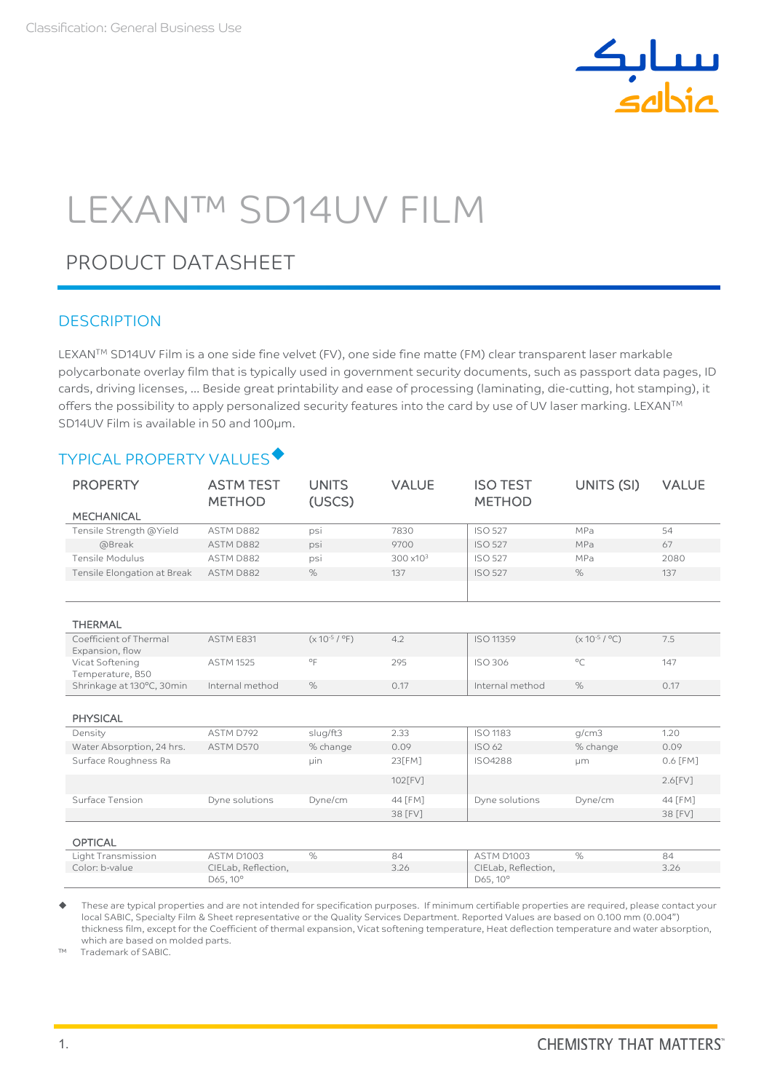

# LEXAN™ SD14UV FILM

# PRODUCT DATASHEET

## **DESCRIPTION**

LEXANTM SD14UV Film is a one side fine velvet (FV), one side fine matte (FM) clear transparent laser markable polycarbonate overlay film that is typically used in government security documents, such as passport data pages, ID cards, driving licenses, … Beside great printability and ease of processing (laminating, die-cutting, hot stamping), it offers the possibility to apply personalized security features into the card by use of UV laser marking. LEXAN™ SD14UV Film is available in 50 and 100µm.

## TYPICAL PROPERTY VALUES

| <b>PROPERTY</b><br><b>MECHANICAL</b> | <b>ASTM TEST</b><br><b>METHOD</b> | <b>UNITS</b><br>(USCS) | <b>VALUE</b>        | <b>ISO TEST</b><br><b>METHOD</b> | UNITS (SI)         | <b>VALUE</b> |
|--------------------------------------|-----------------------------------|------------------------|---------------------|----------------------------------|--------------------|--------------|
| Tensile Strength @Yield              | ASTM D882                         | psi                    | 7830                | <b>ISO 527</b>                   | MPa                | 54           |
| @Break                               | ASTM D882                         | psi                    | 9700                | <b>ISO 527</b>                   | MPa                | 67           |
| Tensile Modulus                      | ASTM D882                         | psi                    | $300 \times 10^{3}$ | <b>ISO 527</b>                   | MPa                | 2080         |
| Tensile Elongation at Break          | ASTM D882                         | %                      | 137                 | <b>ISO 527</b>                   | %                  | 137          |
|                                      |                                   |                        |                     |                                  |                    |              |
|                                      |                                   |                        |                     |                                  |                    |              |
| <b>THERMAL</b>                       |                                   |                        |                     |                                  |                    |              |
| Coefficient of Thermal               | ASTM E831                         | $(x 10^{-5} / °F)$     | 4.2                 | ISO 11359                        | $(x 10^{-5} / °C)$ | 7.5          |
| Expansion, flow<br>Vicat Softening   | <b>ASTM 1525</b>                  | °F                     | 295                 | ISO 306                          | $^{\circ}$ C       | 147          |
| Temperature, B50                     |                                   |                        |                     |                                  |                    |              |
| Shrinkage at 130°C, 30min            | Internal method                   | %                      | 0.17                | Internal method                  | %                  | 0.17         |
|                                      |                                   |                        |                     |                                  |                    |              |
| <b>PHYSICAL</b>                      |                                   |                        |                     |                                  |                    |              |
| Density                              | ASTM D792                         | slug/ft3               | 2.33                | <b>ISO 1183</b>                  | q/cm3              | 1.20         |
| Water Absorption, 24 hrs.            | ASTM D570                         | % change               | 0.09                | ISO 62                           | % change           | 0.09         |
| Surface Roughness Ra                 |                                   | uin                    | 23[FM]              | ISO4288                          | μm                 | 0.6 [FM]     |
|                                      |                                   |                        | 102[FV]             |                                  |                    | $2.6$ [FV]   |
| Surface Tension                      | Dyne solutions                    | Dyne/cm                | 44 [FM]             | Dyne solutions                   | Dyne/cm            | 44 [FM]      |
|                                      |                                   |                        | 38 [FV]             |                                  |                    | 38 [FV]      |
|                                      |                                   |                        |                     |                                  |                    |              |
| <b>OPTICAL</b>                       |                                   |                        |                     |                                  |                    |              |
| Light Transmission                   | <b>ASTM D1003</b>                 | $\%$                   | 84                  | ASTM D1003                       | $\%$               | 84           |
| Color: b-value                       | CIELab, Reflection,               |                        | 3.26                | CIELab, Reflection,              |                    | 3.26         |
|                                      | D65, 10°                          |                        |                     | D65, 10°                         |                    |              |

 These are typical properties and are not intended for specification purposes. If minimum certifiable properties are required, please contact your local SABIC, Specialty Film & Sheet representative or the Quality Services Department. Reported Values are based on 0.100 mm (0.004") thickness film, except for the Coefficient of thermal expansion, Vicat softening temperature, Heat deflection temperature and water absorption, which are based on molded parts.

™ Trademark of SABIC.